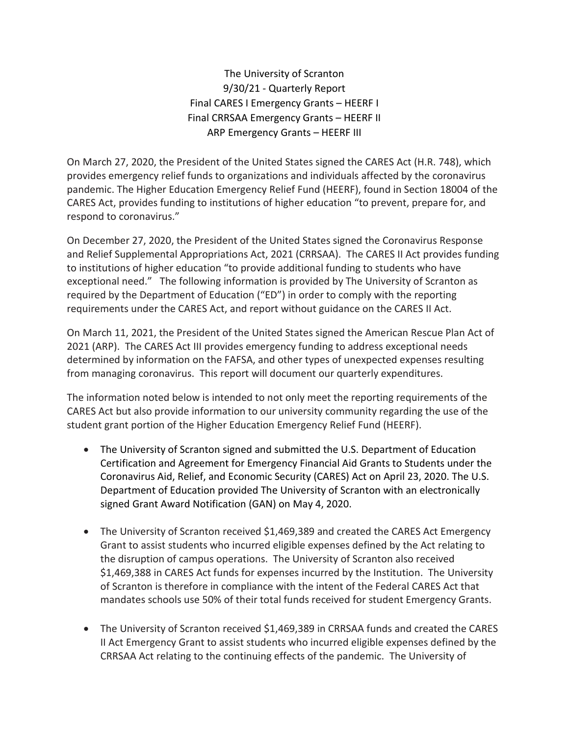The University of Scranton 9/30/21 - Quarterly Report Final CARES I Emergency Grants – HEERF I Final CRRSAA Emergency Grants – HEERF II ARP Emergency Grants – HEERF III

On March 27, 2020, the President of the United States signed the CARES Act (H.R. 748), which provides emergency relief funds to organizations and individuals affected by the coronavirus pandemic. The Higher Education Emergency Relief Fund (HEERF), found in Section 18004 of the CARES Act, provides funding to institutions of higher education "to prevent, prepare for, and respond to coronavirus."

On December 27, 2020, the President of the United States signed the Coronavirus Response and Relief Supplemental Appropriations Act, 2021 (CRRSAA). The CARES II Act provides funding to institutions of higher education "to provide additional funding to students who have exceptional need." The following information is provided by The University of Scranton as required by the Department of Education ("ED") in order to comply with the reporting requirements under the CARES Act, and report without guidance on the CARES II Act.

On March 11, 2021, the President of the United States signed the American Rescue Plan Act of 2021 (ARP). The CARES Act III provides emergency funding to address exceptional needs determined by information on the FAFSA, and other types of unexpected expenses resulting from managing coronavirus. This report will document our quarterly expenditures.

The information noted below is intended to not only meet the reporting requirements of the CARES Act but also provide information to our university community regarding the use of the student grant portion of the Higher Education Emergency Relief Fund (HEERF).

- The University of Scranton signed and submitted the U.S. Department of Education Certification and Agreement for Emergency Financial Aid Grants to Students under the Coronavirus Aid, Relief, and Economic Security (CARES) Act on April 23, 2020. The U.S. Department of Education provided The University of Scranton with an electronically signed Grant Award Notification (GAN) on May 4, 2020.
- The University of Scranton received \$1,469,389 and created the CARES Act Emergency Grant to assist students who incurred eligible expenses defined by the Act relating to the disruption of campus operations. The University of Scranton also received \$1,469,388 in CARES Act funds for expenses incurred by the Institution. The University of Scranton is therefore in compliance with the intent of the Federal CARES Act that mandates schools use 50% of their total funds received for student Emergency Grants.
- The University of Scranton received \$1,469,389 in CRRSAA funds and created the CARES II Act Emergency Grant to assist students who incurred eligible expenses defined by the CRRSAA Act relating to the continuing effects of the pandemic. The University of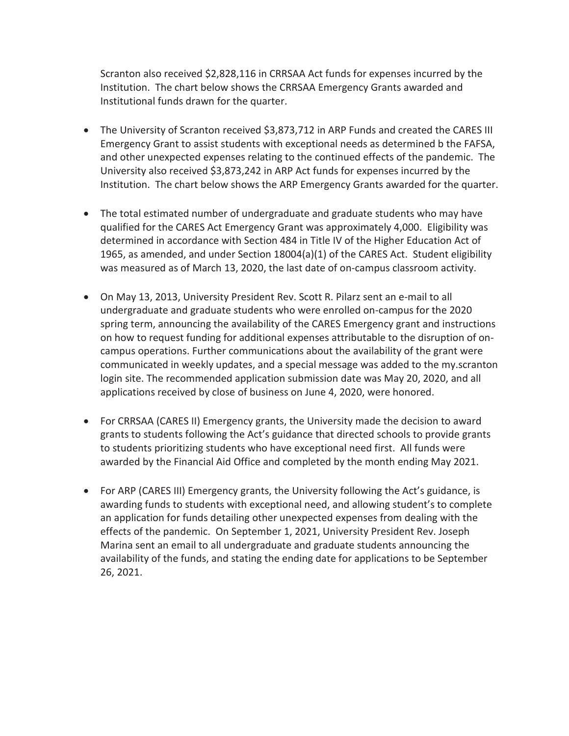Scranton also received \$2,828,116 in CRRSAA Act funds for expenses incurred by the Institution. The chart below shows the CRRSAA Emergency Grants awarded and Institutional funds drawn for the quarter.

- The University of Scranton received \$3,873,712 in ARP Funds and created the CARES III Emergency Grant to assist students with exceptional needs as determined b the FAFSA, and other unexpected expenses relating to the continued effects of the pandemic. The University also received \$3,873,242 in ARP Act funds for expenses incurred by the Institution. The chart below shows the ARP Emergency Grants awarded for the quarter.
- The total estimated number of undergraduate and graduate students who may have qualified for the CARES Act Emergency Grant was approximately 4,000. Eligibility was determined in accordance with Section 484 in Title IV of the Higher Education Act of 1965, as amended, and under Section 18004(a)(1) of the CARES Act. Student eligibility was measured as of March 13, 2020, the last date of on-campus classroom activity.
- On May 13, 2013, University President Rev. Scott R. Pilarz sent an e-mail to all undergraduate and graduate students who were enrolled on-campus for the 2020 spring term, announcing the availability of the CARES Emergency grant and instructions on how to request funding for additional expenses attributable to the disruption of oncampus operations. Further communications about the availability of the grant were communicated in weekly updates, and a special message was added to the my.scranton login site. The recommended application submission date was May 20, 2020, and all applications received by close of business on June 4, 2020, were honored.
- For CRRSAA (CARES II) Emergency grants, the University made the decision to award grants to students following the Act's guidance that directed schools to provide grants to students prioritizing students who have exceptional need first. All funds were awarded by the Financial Aid Office and completed by the month ending May 2021.
- For ARP (CARES III) Emergency grants, the University following the Act's guidance, is awarding funds to students with exceptional need, and allowing student's to complete an application for funds detailing other unexpected expenses from dealing with the effects of the pandemic. On September 1, 2021, University President Rev. Joseph Marina sent an email to all undergraduate and graduate students announcing the availability of the funds, and stating the ending date for applications to be September 26, 2021.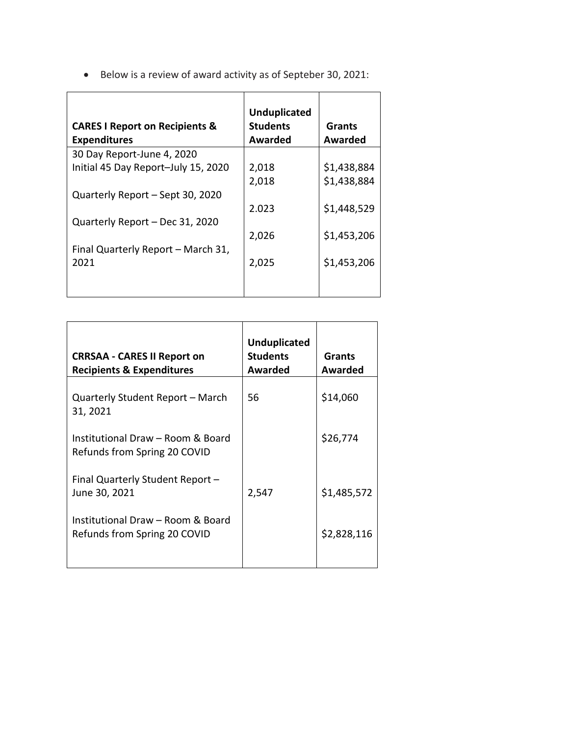• Below is a review of award activity as of Septeber 30, 2021:

| <b>CARES I Report on Recipients &amp;</b><br><b>Expenditures</b> | <b>Unduplicated</b><br><b>Students</b><br>Awarded | Grants<br>Awarded |
|------------------------------------------------------------------|---------------------------------------------------|-------------------|
| 30 Day Report-June 4, 2020                                       |                                                   |                   |
| Initial 45 Day Report-July 15, 2020                              | 2,018                                             | \$1,438,884       |
|                                                                  | 2,018                                             | \$1,438,884       |
| Quarterly Report - Sept 30, 2020                                 |                                                   |                   |
|                                                                  | 2.023                                             | \$1,448,529       |
| Quarterly Report - Dec 31, 2020                                  |                                                   |                   |
|                                                                  | 2,026                                             | \$1,453,206       |
| Final Quarterly Report - March 31,                               |                                                   |                   |
| 2021                                                             | 2,025                                             | \$1,453,206       |
|                                                                  |                                                   |                   |

| <b>CRRSAA - CARES II Report on</b><br><b>Recipients &amp; Expenditures</b> | <b>Unduplicated</b><br><b>Students</b><br>Awarded | <b>Grants</b><br><b>Awarded</b> |
|----------------------------------------------------------------------------|---------------------------------------------------|---------------------------------|
| Quarterly Student Report - March<br>31, 2021                               | 56                                                | \$14,060                        |
| Institutional Draw - Room & Board<br>Refunds from Spring 20 COVID          |                                                   | \$26,774                        |
| Final Quarterly Student Report -<br>June 30, 2021                          | 2,547                                             | \$1,485,572                     |
| Institutional Draw - Room & Board<br>Refunds from Spring 20 COVID          |                                                   | \$2,828,116                     |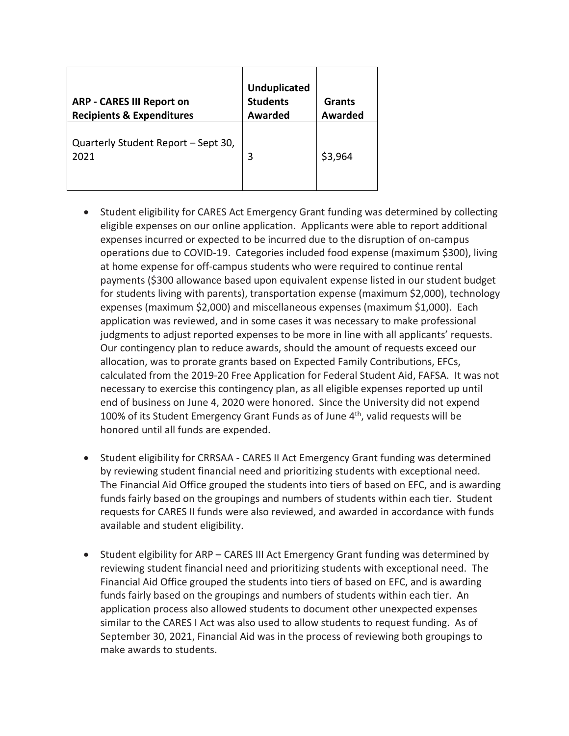| <b>ARP - CARES III Report on</b><br><b>Recipients &amp; Expenditures</b> | <b>Unduplicated</b><br><b>Students</b><br><b>Awarded</b> | <b>Grants</b><br><b>Awarded</b> |
|--------------------------------------------------------------------------|----------------------------------------------------------|---------------------------------|
| Quarterly Student Report - Sept 30,<br>2021                              | 3                                                        | \$3,964                         |

- Student eligibility for CARES Act Emergency Grant funding was determined by collecting eligible expenses on our online application. Applicants were able to report additional expenses incurred or expected to be incurred due to the disruption of on-campus operations due to COVID-19. Categories included food expense (maximum \$300), living at home expense for off-campus students who were required to continue rental payments (\$300 allowance based upon equivalent expense listed in our student budget for students living with parents), transportation expense (maximum \$2,000), technology expenses (maximum \$2,000) and miscellaneous expenses (maximum \$1,000). Each application was reviewed, and in some cases it was necessary to make professional judgments to adjust reported expenses to be more in line with all applicants' requests. Our contingency plan to reduce awards, should the amount of requests exceed our allocation, was to prorate grants based on Expected Family Contributions, EFCs, calculated from the 2019-20 Free Application for Federal Student Aid, FAFSA. It was not necessary to exercise this contingency plan, as all eligible expenses reported up until end of business on June 4, 2020 were honored. Since the University did not expend 100% of its Student Emergency Grant Funds as of June  $4<sup>th</sup>$ , valid requests will be honored until all funds are expended.
- Student eligibility for CRRSAA CARES II Act Emergency Grant funding was determined by reviewing student financial need and prioritizing students with exceptional need. The Financial Aid Office grouped the students into tiers of based on EFC, and is awarding funds fairly based on the groupings and numbers of students within each tier. Student requests for CARES II funds were also reviewed, and awarded in accordance with funds available and student eligibility.
- Student elgibility for ARP CARES III Act Emergency Grant funding was determined by reviewing student financial need and prioritizing students with exceptional need. The Financial Aid Office grouped the students into tiers of based on EFC, and is awarding funds fairly based on the groupings and numbers of students within each tier. An application process also allowed students to document other unexpected expenses similar to the CARES I Act was also used to allow students to request funding. As of September 30, 2021, Financial Aid was in the process of reviewing both groupings to make awards to students.